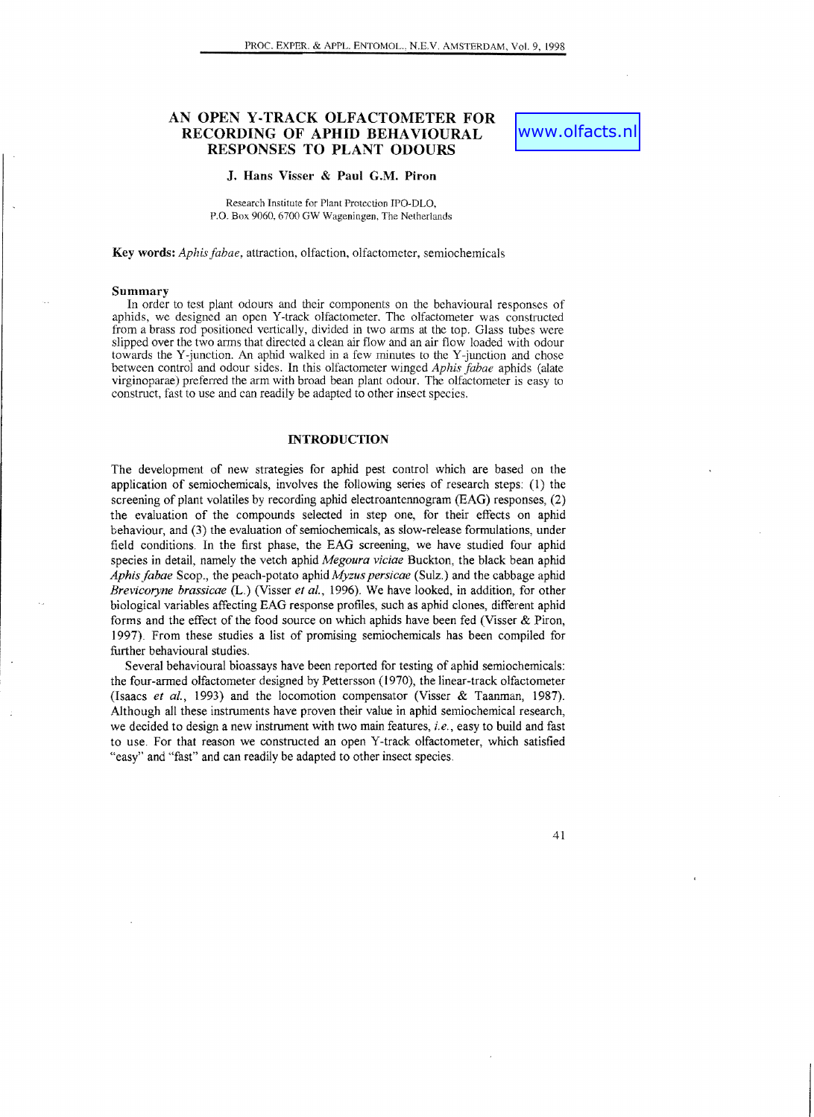# AN OPEN Y·TRACK OLFACTOMETER FOR RECORDING OF APHID BEHAVIOURAL RESPONSES TO PLANT ODOURS

# www.olfacts.n

#### J. Hans Visser & Paul G.M. Piron

Research Institute for Plant Protection IPO-OLO, P.O. Box 9060, 6700 GW Wageningen, The Netherlands

Key words: *Aphis fabae,* attraction, olfaction, olfactometer, semiochemicals

#### Summary

In order to test plant odours and their components on the behavioural responses of aphids, we designed an open Y-track olfactometer. The olfactometer was constructed from a brass rod positioned vertically, divided in two arms at the top. Glass tubes were slipped over the two arms that directed a clean air flow and an air flow loaded with odour towards the Y-junction. An aphid walked in a few minutes to the Y-junction and chose between control and odour sides. In this olfactometer winged *Aphis fabae* aphids (alate virginoparae) preferred the arm with broad bean plant odour. The olfactometer is easy to construct, fast to use and can readily be adapted to other inseet species.

## **INTRODUCTION**

The development of new strategies for aphid pest control which are based on the application of semiochemicals, involves the following series of research steps: (1) the screening of plant volatiles by recording aphid electroantennogram (EAG) responses, (2) the evaluation of the compounds seleeted in step one, for their effects on aphid behaviour, and (3) the evaluation of semiochemicals, as slow-release formulations, under field conditions. In the first phase, the EAG screening, we have studied four aphid species in detail, namely the vetch aphid *Megoura viciae* Buckton, the black bean aphid *Aphis fabae* Scop., the peach-potato aphid *Myzus persicae* (Sulz.) and the cabbage aphid *Brevicoryne brassicae* (L.) (Visser *et aI.,* 1996). We have looked, in addition, for other biological variables affecting EAG response profiles, such as aphid clones, different aphid forms and the effect of the food source on which aphids have been fed (Visser & Piron, 1997). From these studies a list of promising semiochemicals has been compiled for further behavioural studies.

Several behavioural bioassays have been reported for testing of aphid semiochemicals: the four-armed olfactometer designed by Pettersson (1970), the linear-track olfactometer (Isaacs *et al.,* 1993) and the locomotion compensator (Visser & Taanman, 1987). Although all these instruments have proven their value in aphid semiochemical research, we decided to design a new instrument with two main features, *i. e.,* easy to build and fast to use. For that reason we constructed an open Y-track olfactometer, which satisfied "easy" and "fast" and can readily be adapted to other insect species.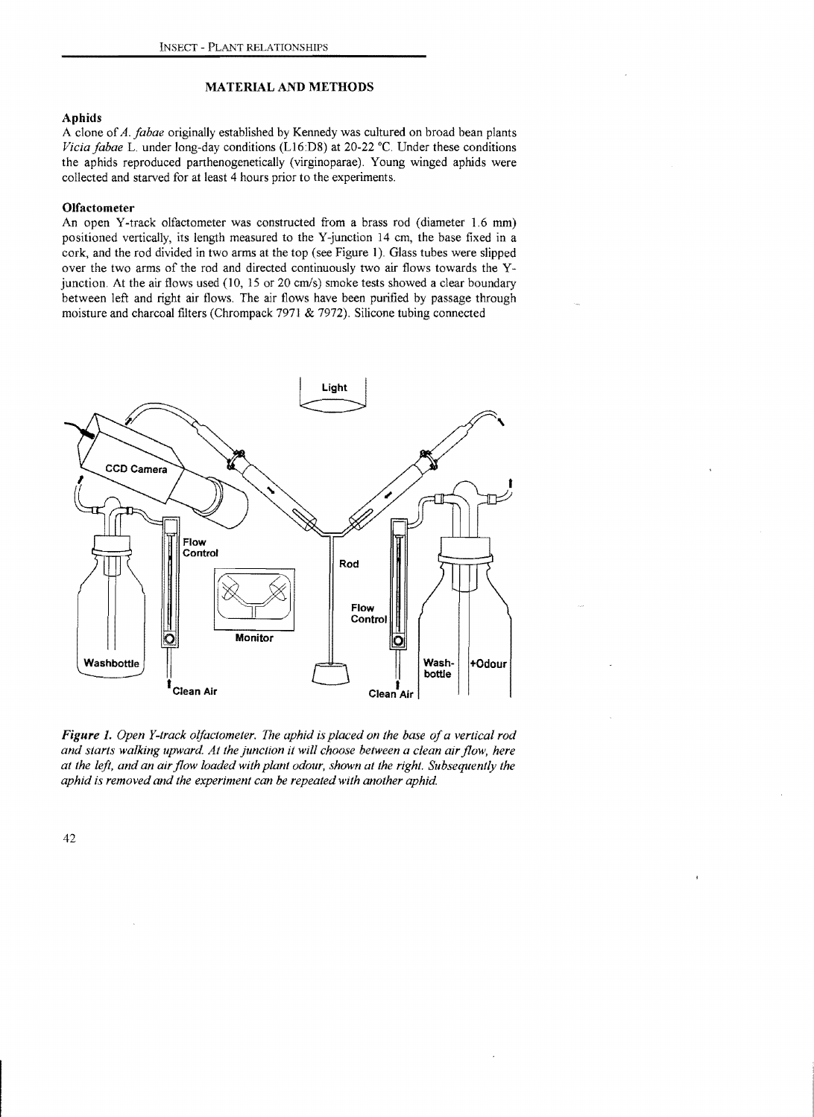### MATERIAL AND METHODS

## Aphids

A clone of*A. fabae* originally established by Kennedy was cultured on broad bean plants *Vicia fabae* L. under long-day conditions (L16:D8) at 20-22 °C. Under these conditions the aphids reproduced parthenogenetically (virginoparae). Young winged aphids were collected and starved for at least 4 hours prior to the experiments.

## Olfactometer

An open Y-track olfactometer was constructed from a brass rod (diameter 1.6 mm) positioned vertically, its length measured to the Y-junction 14 cm, the base fixed in a cork, and the rod divided in two arms at the top (see Figure 1). Glass tubes were slipped over the two arms of the rod and directed continuously two air flows towards the Yjunction. At the air flows used (10, 15 or 20 cm/s) smoke tests showed a clear boundary between left and right air flows. The air flows have been purified by passage through moisture and charcoal filters (Chrompack 7971 & 7972). Silicone tubing connected



*Figure* 1. *Open Y-track olfactometer.* The *aphid is placed on the base ofa vertical rod and starts walking upward. At the junction it will choose between a clean air flow, here at the left, and an air flow loaded with plant odour, shown at the right. Subsequently the aphid is removed and the experiment can be repeated with another aphid.*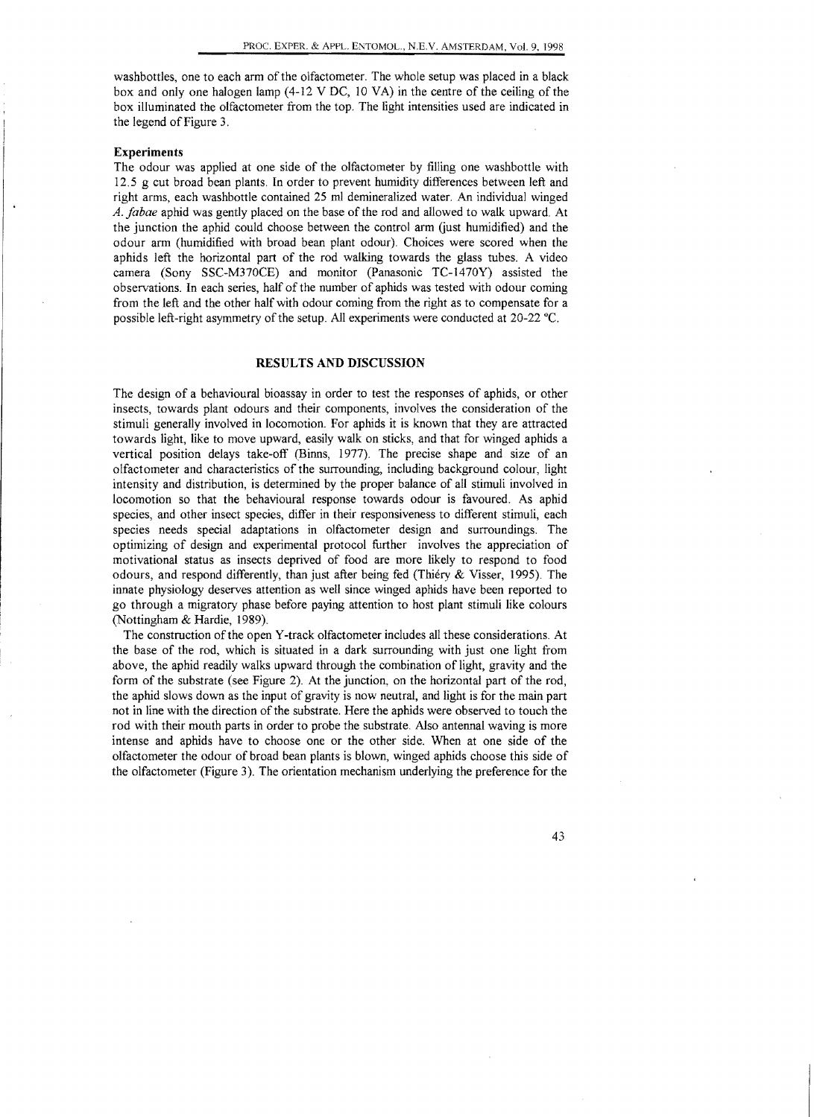washbottles, one to each arm of the olfactometer. The whole setup was placed in a black box and only one halogen lamp (4-12 V DC, 10 VA) in the centre of the ceiling of the box illuminated the olfactometer from the top. The light intensities used are indicated in the legend of Figure 3.

#### **Experiments**

The odour was applied at one side of the olfactometer by filling one washbottle with 12.5 g cut broad bean plants. In order to prevent humidity differences between left and right arms, each washbottle contained 25 ml demineralized water. An individual winged *A. jabae* aphid was gently placed on the base of the rod and allowed to walk upward At the junction the aphid could choose between the control arm Gust humidified) and the odour arm (humidified with broad bean plant odour). Choices were scored when the aphids left the horizontal part of the rod walking towards the glass tubes. A video camera (Sony SSC-M370CE) and monitor (Panasonic TC-1470Y) assisted the observations. **In** each series, half of the number of aphids was tested with odour coming from the left and the other half with odour coming from the right as to compensate for a possible left-right asymmetry of the setup. All experiments were conducted at 20-22 °C.

#### **RESULTS AND DISCUSSION**

The design of a behavioural bioassay in order to test the responses of aphids, or other insects, towards plant odours and their components, involves the consideration of the stimuli generally involved in locomotion. For aphids it is known that they are attracted towards light, like to move upward, easily walk on sticks, and that for winged aphids a vertical position delays take-off (Binns, 1977). The precise shape and size of an olfactometer and characteristics of the surrounding, including background colour, light intensity and distribution, is determined by the proper balance of all stimuli involved in locomotion so that the behavioural response towards odour is favoured. As aphid species, and other insect species, differ in their responsiveness to different stimuli, each species needs special adaptations in olfactometer design and surroundings. The optimizing of design and experimental protocol further involves the appreciation of motivational status as insects deprived of food are more likely to respond to food odours, and respond differently, than just after being fed (Thiery  $\&$  Visser, 1995). The innate physiology deserves attention as well since winged aphids have been reported to go through a migratory phase before paying attention to host plant stimuli like colours (Nottingham & Hardie, 1989).

The construction of the open Y-track olfactometer includes all these considerations. At the base of the rod, which is situated in a dark surrounding with just one light from above, the aphid readily walks upward through the combination of light, gravity and the form of the substrate (see Figure 2). At the junction, on the horizontal part of the rod, the aphid slows down as the input of gravity is now neutral, and light is for the main part not in line with the direction of the substrate. Here the aphids were observed to touch the rod with their mouth parts in order to probe the substrate. Also antennal waving is more intense and aphids have to choose one or the other side. When at one side of the olfactometer the odour of broad bean plants is blown, winged aphids choose this side of the olfactometer (Figure 3). The orientation mechanism underlying the preference for the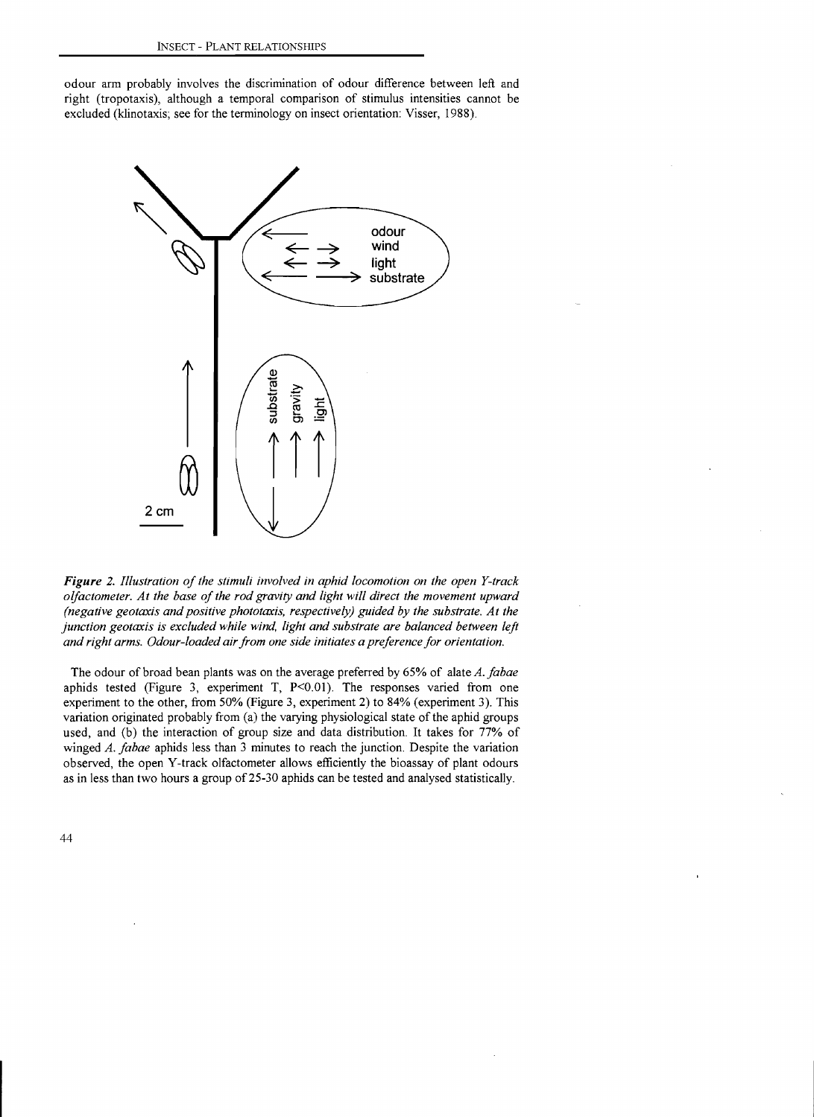odour arm probably involves the discrimination of odour difference between left and right (tropotaxis), although a temporal comparison of stimulus intensities cannot be excluded (klinotaxis; see for the terminology on insect orientation: Visser, 1988).



*Figure* 2. *Illustration of the stimuli involved in aphid locomotion on the open Y-track olfactometer. At the base of the rod gravity and light will direct the movement upward (negative geotaxis and positive phototaxis, respectively) guided by the substrate. At the junction geotaxis is excluded while wind, light and substrate are balanced between left and right arms. Odour-loaded air from one side initiates a preference for orientation.* 

The odour of broad bean plants was on the average preferred by 65% of alate *A. fabae*  aphids tested (Figure 3, experiment T, P<0.01). The responses varied from one experiment to the other, from 50% (Figure 3, experiment 2) to 84% (experiment 3). This variation originated probably from (a) the varying physiological state of the aphid groups used, and (b) the interaction of group size and data distribution. It takes for 77% of winged *A. fabae* aphids less than 3 minutes to reach the junction. Despite the variation observed, the open Y-track olfactometer allows efficiently the bioassay of plant odours as in less than two hours a group of 25-30 aphids can be tested and analysed statistically.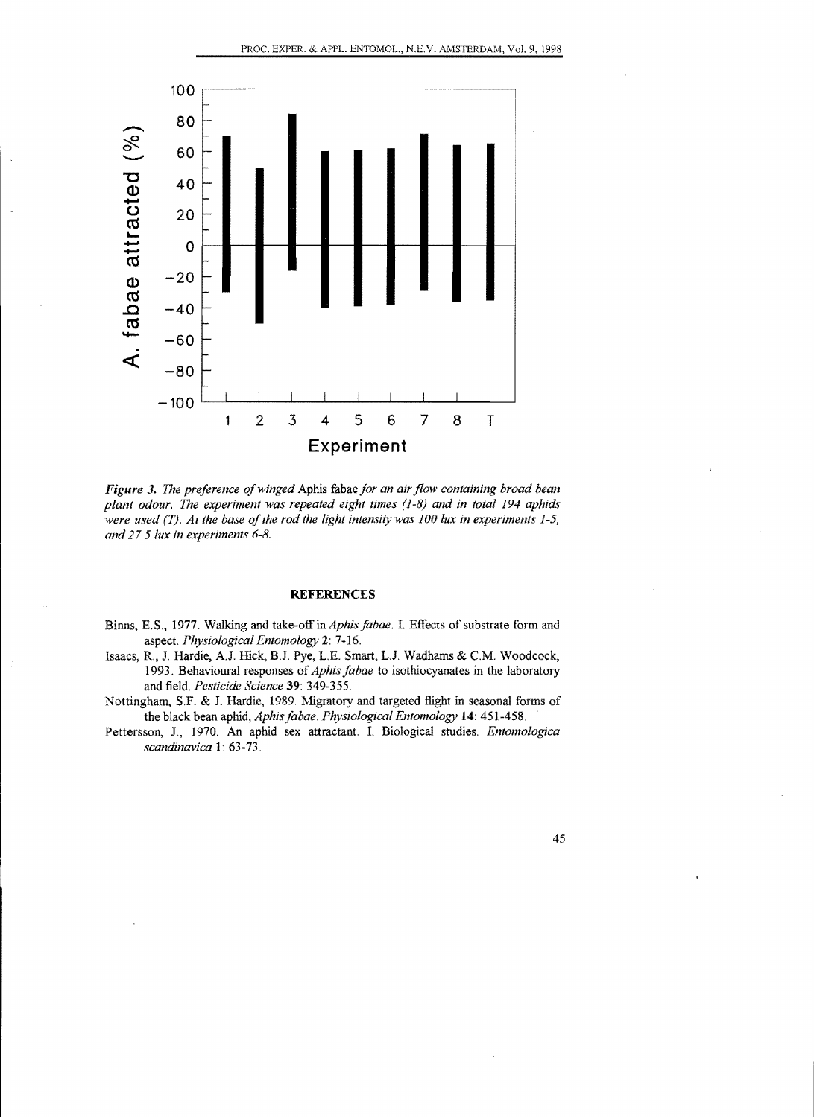

*Figure* 3. *The preference ofwinged* Aphis fabae *for an air flow containing broad bean plant odour. The experiment was repeated eight times* (1-8) *and in total* 194 *aphids*  were used (T). At the base of the rod the light intensity was 100 lux in experiments 1-5, *and* 27.5 *lux in experiments 6-8.* 

## **REFERENCES**

- Binns, E.S., 1977. Walking and take-off in *Aphisfabae.* I. Effects of substrate form and aspect. *Physiological Entomology* 2: 7-16.
- Isaacs, R., 1. Hardie, A.1. Hick, B.1. Pye, L.E. Smart, L.1. Wadhams & C.M. Woodcock, 1993. Behavioural responses of*Aphis fabae* to isothiocyanates in the laboratory and field. *Pesticide Science* 39: 349-355.
- Nottingham, S.F. & J. Hardie, 1989. Migratory and targeted flight in seasonal forms of the black bean aphid, *Aphisfabae. Physiological Entomology* 14: 451-458.
- Pettersson, 1., 1970. An aphid sex attractant. I. Biological studies. *Entomologica scandinavica* 1: 63-73.